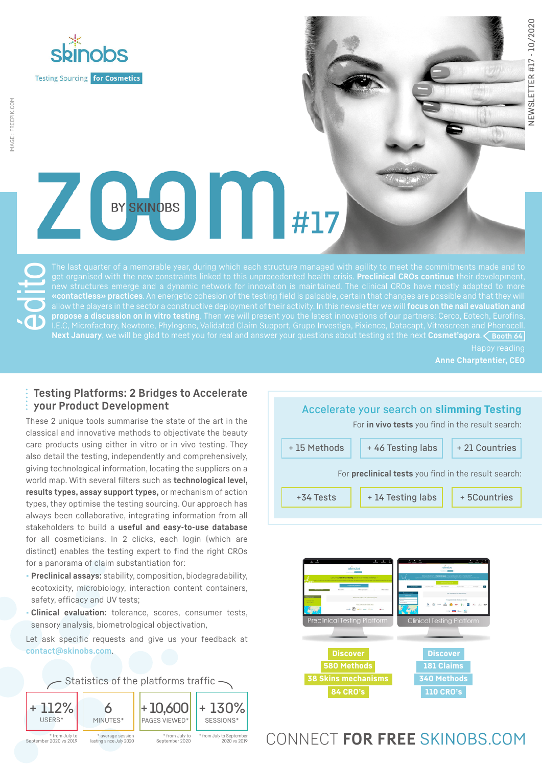

# $\sqrt{2}$ BY SKINOBS #17

édito get organised with the new constraints linked to this unprecedented health crisis. **Preclinical CROs continue** their development, new structures emerge and a dynamic network for innovation is maintained. The clinical CROs have mostly adapted to more allow the players in the sector a constructive deployment of their activity. In this newsletter we will **focus on the nail evaluation and propose a discussion on in vitro testing**. Then we will present you the latest innovations of our partners: Cerco, Eotech, Eurofins, **Next January**, we will be glad to meet you for real and answer your questions about testing at the next **Cosmet'agora**. **Booth 64**

**Anne Charptentier, CEO**

## **Testing Platforms: 2 Bridges to Accelerate your Product Development**

These 2 unique tools summarise the state of the art in the classical and innovative methods to objectivate the beauty care products using either in vitro or in vivo testing. They also detail the testing, independently and comprehensively, giving technological information, locating the suppliers on a world map. With several filters such as **technological level, results types, assay support types,** or mechanism of action types, they optimise the testing sourcing. Our approach has always been collaborative, integrating information from all stakeholders to build a **useful and easy-to-use database** for all cosmeticians. In 2 clicks, each login (which are distinct) enables the testing expert to find the right CROs for a panorama of claim substantiation for:

- **• Preclinical assays:** stability, composition, biodegradability, ecotoxicity, microbiology, interaction content containers, safety, efficacy and UV tests;
- **• Clinical evaluation:** tolerance, scores, consumer tests, sensory analysis, biometrological objectivation,

Let ask specific requests and give us your feedback at **[contact@skinobs.com](mailto:contact@skinobs.com)**.







## CONNECT **FOR FREE** [SKINOBS.COM](http://skinobs.com)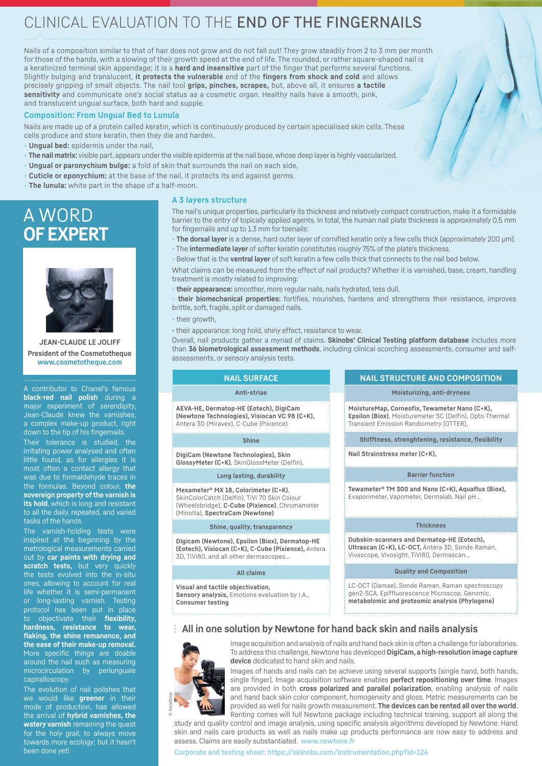## CLINICAL EVALUATION TO THE END OF THE FINGERNAILS

Nails of a composition similar to that of hair does not grow and do not fall out! They grow steadily from 2 to 3 mm per month for those of the hands, with a slowing of their growth speed at the end of life. The rounded, or rather square-shaped nail is a keratinized terminal skin appendage; it is a **hard and insensitive** part of the finger that performs several functions. Slightly bulging and translucent, **it protects the vulnerable** end of the **fingers from shock and cold** and allows precisely gripping of small objects. The nail tool **grips, pinches, scrapes,** but, above all, it ensures **a tactile sensitivity** and communicate one's social status as a cosmetic organ. Healthy nails have a smooth, pink, and translucent ungual surface, both hard and supple.

#### **Composition: From Ungual Bed to Lunula**

Nails are made up of a protein called keratin, which is continuously produced by certain specialised skin cells. These cells produce and store keratin, then they die and harden.

- **• Ungual bed:** epidermis under the nail,
- **• The nail matrix:** visible part, appears under the visible epidermis at the nail base, whose deep layer is highly vascularized.
- **• Ungual or paronychium bulge:** a fold of skin that surrounds the nail on each side,
- **• Cuticle or eponychium:** at the base of the nail, it protects its end against germs.
- **• The lunula:** white part in the shape of a half-moon.

## A WORD **OF EXPERT**



**JEAN-CLAUDE LE JOLIFF President of the Cosmetotheque [www.cosmetotheque.com](http://www.cosmetotheque.com)**

A contributor to Chanel's famous **black-red nail polish** during a major experiment of serendipity, Jean-Claude knew the varnishes, a complex make-up product, right down to the tip of his fingernails.

Their tolerance is studied, the irritating power analysed and often little found, as for allergies it is most often a contact allergy that was due to formaldehyde traces in the formulas. Beyond colour, **the sovereign property of the varnish is its hold**, which is long and resistant to all the daily, repeated, and varied tasks of the hands.

The varnish-holding tests were inspired at the beginning by the metrological measurements carried out by **car paints with drying and scratch tests,** but very quickly the tests evolved into the in-situ ones, allowing to account for real life whether it is semi-permanent or long-lasting varnish. Testing protocol has been put in place to objectivate their **flexibility, hardness, resistance to wear, flaking, the shine remanence, and the ease of their make-up removal.** More specific things are doable around the nail such as measuring microcirculation by periunguale capiralloscopy.

The evolution of nail polishes that we would like **greener** in their mode of production, has allowed the arrival of **hybrid varnishes, the watery varnish** remaining the quest for the holy grail, to always move towards more ecology; but it hasn't been done yet!

#### **A 3 layers structure**

The nail's unique properties, particularly its thickness and relatively compact construction, make it a formidable barrier to the entry of topically applied agents. In total, the human nail plate thickness is approximately 0.5 mm for fingernails and up to 1.3 mm for toenails:

- **• The dorsal layer** is a dense, hard outer layer of cornified keratin only a few cells thick (approximately 200 μm).
- **•** The **intermediate layer** of softer keratin constitutes roughly 75% of the plate's thickness.
- **•** Below that is the **ventral layer** of soft keratin a few cells thick that connects to the nail bed below.

What claims can be measured from the effect of nail products? Whether it is varnished, base, cream, handling treatment is mostly related to improving:

**• their appearance:** smoother, more regular nails, nails hydrated, less dull.

**• their biomechanical properties:** fortifies, nourishes, hardens and strengthens their resistance, improves brittle, soft, fragile, split or damaged nails.

- **•** their growth,
- their appearance: long hold, shiny effect, resistance to wear.

Overall, nail products gather a myriad of claims. **Skinobs' Clinical Testing platform database** includes more than **36 biometrological assessment methods**, including clinical scorching assessments, consumer and selfassessments, or sensory analysis tests.

#### **NAIL SURFACE Anti-striae AEVA-HE, Dermatop-HE (Eotech), DigiCam (Newtone Technologies), Visiocan VC 98 (C+K),** Antera 3D (Miravex), C-Cube (Pixience) **Shine DigiCam (Newtone Technologies), Skin GlossyMeter (C+K)**, SkinGlossMeter (Delfin), **Long lasting, durability Mexameter® MX 18, Colorimeter (C+K)**, SkinColorCatch (Delfin), TiVi 70 Skin Colour (Wheelsbridge), **C-Cube (Pixience)**, Chromameter (Minolta), **SpectraCam (Newtone) Nail Strainstress meter (C+K),**

#### **Shine, quality, transparency**

**Digicam (Newtone), Epsilon (Biox), Dermatop-HE (Eotech), Visiocan (C+K), C-Cube (Pixience),** Antera 3D, TiVi80, and all other dermascopes...

#### **All claims**

**Visual and tactile objectivation, Sensory analysis,** Emotions evaluation by I.A., **Consumer testing**

#### **NAIL STRUCTURE AND COMPOSITION**

**Moisturizing, anti-dryness**

**MoistureMap, Corneofix, Tewameter Nano (C+K), Epsilon (Biox)**, Moisturemeter SC (Delfin), Opto-Thermal Transient Emission Randiometry [OTTER],

**Shifftness, strenghtening, resistance, flexibility**

#### **Barrier function**

**Tewameter® TM 300 and Nano (C+K), Aquaflux (Biox),**  Evaporimeter, Vapometer, Dermalab, Nail pH...

#### **Thickness**

**Dubskin-scanners and Dermatop-HE (Eotech), Ultrascan (C+K), LC-OCT,** Antera 3D, Sonde Raman, Vivascope, Vivosight, TiVi80, Dermascan...

**Quality and Composition**

LC-OCT (Damae), Sonde Raman, Raman spectroscopy gen2-SCA, Epiffluorescence Microscop, Genomic, **metabolomic and proteomic analysis (Phylogene)**

### **All in one solution by Newtone for hand back skin and nails analysis**



© Newtone

Image acquisition and analysis of nails and hand back skin is often a challenge for laboratories. To address this challenge, Newtone has developed **DigiCam, a high-resolution image capture device** dedicated to hand skin and nails.

Images of hands and nails can be achieve using several supports (single hand, both hands, single finger). Image acquisition software enables **perfect repositioning over time**. Images are provided in both **cross polarized and parallel polarization**, enabling analysis of nails and hand back skin color component, homogeneity and gloss. Metric measurements can be provided as well for nails growth measurement. **The devices can be rented all over the world**. Renting comes will full Newtone package including technical training, support all along the

study and quality control and image analysis, using specific analysis algorithms developed by Newtone. Hand skin and nails care products as well as nails make up products performance are now easy to address and assess. Claims are easily substantiated. **[www.newtone.fr](http://www.newtone.fr)**

#### **Corporate and testing sheet: <https://skinobs.com/instrumentation.php?id=124>**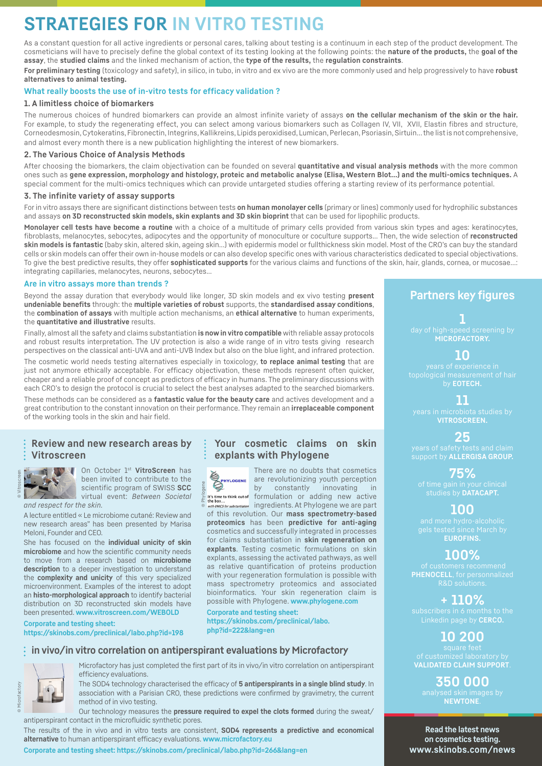## **STRATEGIES FOR IN VITRO TESTING**

As a constant question for all active ingredients or personal cares, talking about testing is a continuum in each step of the product development. The cosmeticians will have to precisely define the global context of its testing looking at the following points: the **nature of the products,** the **goal of the assay**, the **studied claims** and the linked mechanism of action, the **type of the results,** the **regulation constraints**.

**For preliminary testing** (toxicology and safety), in silico, in tubo, in vitro and ex vivo are the more commonly used and help progressively to have **robust alternatives to animal testing.**

#### **What really boosts the use of in-vitro tests for efficacy validation ?**

#### **1. A limitless choice of biomarkers**

The numerous choices of hundred biomarkers can provide an almost infinite variety of assays **on the cellular mechanism of the skin or the hair.**  For example, to study the regenerating effect, you can select among various biomarkers such as Collagen IV, VII, XVII, Elastin fibres and structure, Corneodesmosin, Cytokeratins, Fibronectin, Integrins, Kallikreins, Lipids peroxidised, Lumican, Perlecan, Psoriasin, Sirtuin… the list is not comprehensive, and almost every month there is a new publication highlighting the interest of new biomarkers.

#### **2. The Various Choice of Analysis Methods**

After choosing the biomarkers, the claim objectivation can be founded on several **quantitative and visual analysis methods** with the more common ones such as **gene expression, morphology and histology, proteic and metabolic analyse (Elisa, Western Blot…) and the multi-omics techniques.** A special comment for the multi-omics techniques which can provide untargeted studies offering a starting review of its performance potential.

#### **3. The infinite variety of assay supports**

For in vitro assays there are significant distinctions between tests **on human monolayer cells** (primary or lines) commonly used for hydrophilic substances and assays **on 3D reconstructed skin models, skin explants and 3D skin bioprint** that can be used for lipophilic products.

**Monolayer cell tests have become a routine** with a choice of a multitude of primary cells provided from various skin types and ages: keratinocytes, fibroblasts, melanocytes, sebocytes, adipocytes and the opportunity of monoculture or coculture supports... Then, the wide selection of **reconstructed skin models is fantastic** (baby skin, altered skin, ageing skin…) with epidermis model or fullthickness skin model. Most of the CRO's can buy the standard cells or skin models can offer their own in-house models or can also develop specific ones with various characteristics dedicated to special objectivations. To give the best predictive results, they offer **sophisticated supports** for the various claims and functions of the skin, hair, glands, cornea, or mucosae…: integrating capillaries, melanocytes, neurons, sebocytes...

#### **Are in vitro assays more than trends ?**

Beyond the assay duration that everybody would like longer, 3D skin models and ex vivo testing **present undeniable benefits** through: the **multiple varieties of robust** supports, the **standardised assay conditions**, the **combination of assays** with multiple action mechanisms, an **ethical alternative** to human experiments, the **quantitative and illustrative** results.

Finally, almost all the safety and claims substantiation **is now in vitro compatible** with reliable assay protocols and robust results interpretation. The UV protection is also a wide range of in vitro tests giving research perspectives on the classical anti-UVA and anti-UVB Index but also on the blue light, and infrared protection.

The cosmetic world needs testing alternatives especially in toxicology, **to replace animal testing** that are just not anymore ethically acceptable. For efficacy objectivation, these methods represent often quicker, cheaper and a reliable proof of concept as predictors of efficacy in humans. The preliminary discussions with each CRO's to design the protocol is crucial to select the best analyses adapted to the searched biomarkers.

These methods can be considered as a **fantastic value for the beauty care** and actives development and a great contribution to the constant innovation on their performance. They remain an **irreplaceable component**  of the working tools in the skin and hair field.

## **Review and new research areas by Vitroscreen**



On October 1st **VitroScreen** has been invited to contribute to the scientific program of SWISS **SCC** virtual event: *Between Societal* 

*and respect for the skin.* A lecture entitled « Le microbiome cutané: Review and new research areas" has been presented by Marisa Meloni, Founder and CEO.

She has focused on the **individual unicity of skin microbiome** and how the scientific community needs to move from a research based on **microbiome description** to a deeper investigation to understand the **complexity and unicity** of this very specialized microenvironment. Examples of the interest to adopt an **histo-morphological approach** to identify bacterial distribution on 3D reconstructed skin models have been presented. **[www.vitroscreen.com/WEBOLD](http://www.vitroscreen.com/WEBOLD)**

**Corporate and testing sheet: <https://skinobs.com/preclinical/labo.php?id=198>**

## **Your cosmetic claims on skin explants with Phylogene**



There are no doubts that cosmetics are revolutionizing youth perception by constantly innovating in formulation or adding new active

ingredients. At Phylogene we are part of this revolution. Our **mass spectrometry-based proteomics** has been **predictive for anti-aging**  cosmetics and successfully integrated in processes for claims substantiation in **skin regeneration on explants**. Testing cosmetic formulations on skin explants, assessing the activated pathways, as well as relative quantification of proteins production with your regeneration formulation is possible with mass spectrometry proteomics and associated bioinformatics. Your skin regeneration claim is possible with Phylogene. **[www.phylogene.com](http://www.phylogene.com)**

**Corporate and testing sheet: [https://skinobs.com/preclinical/labo.](https://skinobs.com/preclinical/labo.php?id=222&lang=en) [php?id=222&lang=en](https://skinobs.com/preclinical/labo.php?id=222&lang=en)**

### **in vivo/in vitro correlation on antiperspirant evaluations by Microfactory**



Microfactory has just completed the first part of its in vivo/in vitro correlation on antiperspirant efficiency evaluations.

The SOD4 technology characterised the efficacy of **5 antiperspirants in a single blind study**. In association with a Parisian CRO, these predictions were confirmed by gravimetry, the current method of in vivo testing.

Our technology measures the **pressure required to expel the clots formed** during the sweat/ antiperspirant contact in the microfluidic synthetic pores.

The results of the in vivo and in vitro tests are consistent, **SOD4 represents a predictive and economical alternative** to human antiperspirant efficacy evaluations. **[www.microfactory.eu](http://www.microfactory.eu)**

**Corporate and testing sheet:<https://skinobs.com/preclinical/labo.php?id=266&lang=en>**

## **Partners key figures**

**1 MICROFACTORY.**

**10**

by **EOTECH.**

### **11**

**VITROSCREEN.**

**25** support by **ALLERGISA GROUP.**

**75%** studies by **DATACAPT.**

## **100**

**EUROFINS.**

## **100%**

**PHENOCELL**, for personnalized

## **+ 110%**

Linkedin page by **CERCO.** 

## **10 200**

**350 000**<br>analysed skin image **NEWTONE**.

**Read the latest news on cosmetics testing. [www.skinobs.com/news](http://www.skinobs.com/news)**